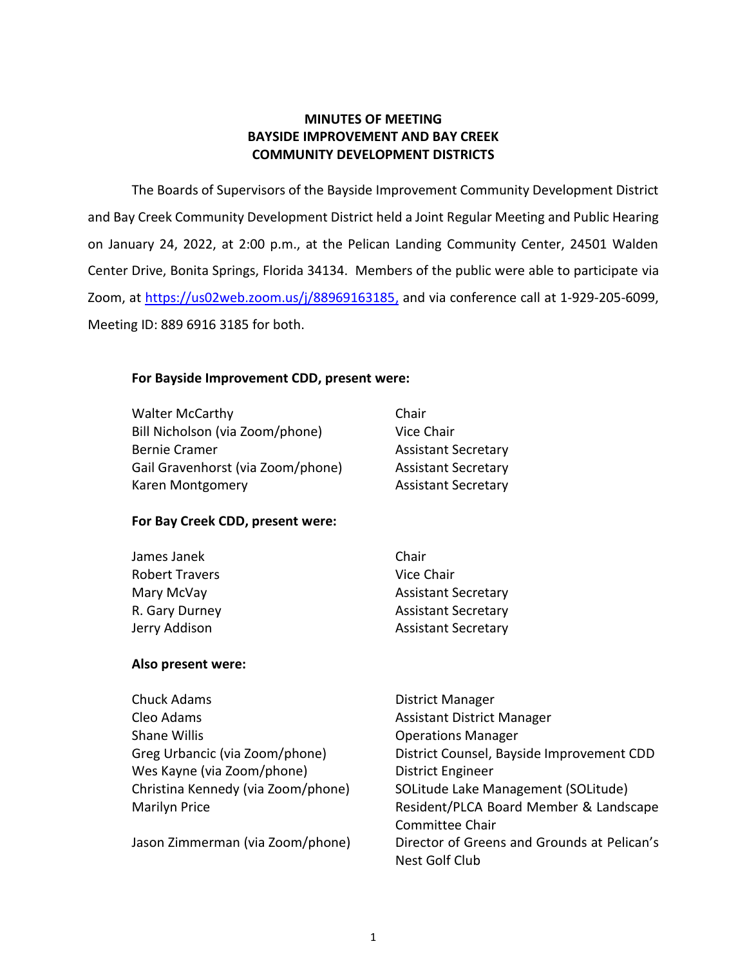# **MINUTES OF MEETING BAYSIDE IMPROVEMENT AND BAY CREEK COMMUNITY DEVELOPMENT DISTRICTS**

 The Boards of Supervisors of the Bayside Improvement Community Development District and Bay Creek Community Development District held a Joint Regular Meeting and Public Hearing on January 24, 2022, at 2:00 p.m., at the Pelican Landing Community Center, 24501 Walden Center Drive, Bonita Springs, Florida 34134. Members of the public were able to participate via Zoom, at <u>https://us02web.zoom.us/j/88969163185,</u> and via conference call at 1-929-205-6099, Meeting ID: 889 6916 3185 for both.

# **For Bayside Improvement CDD, present were:**

| <b>Walter McCarthy</b>            | Chair                      |
|-----------------------------------|----------------------------|
| Bill Nicholson (via Zoom/phone)   | Vice Chair                 |
| <b>Bernie Cramer</b>              | <b>Assistant Secretary</b> |
| Gail Gravenhorst (via Zoom/phone) | <b>Assistant Secretary</b> |
| Karen Montgomery                  | <b>Assistant Secretary</b> |

# **For Bay Creek CDD, present were:**

| Chair                      |
|----------------------------|
| Vice Chair                 |
| <b>Assistant Secretary</b> |
| <b>Assistant Secretary</b> |
| <b>Assistant Secretary</b> |
|                            |

### **Also present were:**

| <b>Chuck Adams</b>                 | District Manager                            |
|------------------------------------|---------------------------------------------|
| Cleo Adams                         | <b>Assistant District Manager</b>           |
| Shane Willis                       | <b>Operations Manager</b>                   |
| Greg Urbancic (via Zoom/phone)     | District Counsel, Bayside Improvement CDD   |
| Wes Kayne (via Zoom/phone)         | <b>District Engineer</b>                    |
| Christina Kennedy (via Zoom/phone) | SOLitude Lake Management (SOLitude)         |
| <b>Marilyn Price</b>               | Resident/PLCA Board Member & Landscape      |
|                                    | Committee Chair                             |
| Jason Zimmerman (via Zoom/phone)   | Director of Greens and Grounds at Pelican's |
|                                    | Nest Golf Club                              |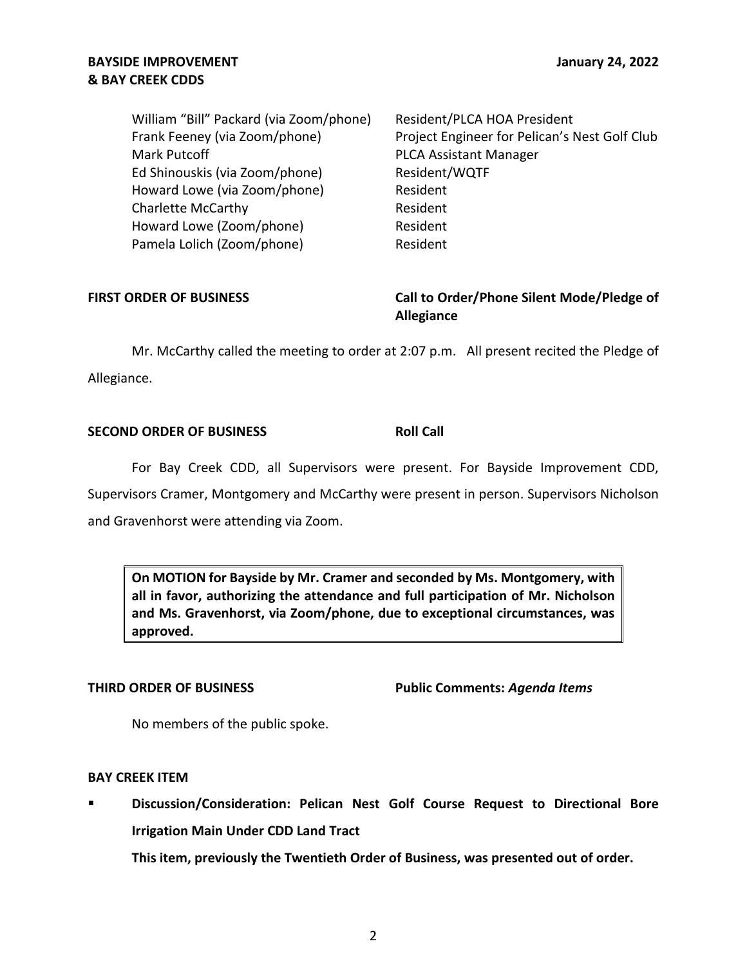# **& BAY CREEK CDDS BAYSIDE IMPROVEMENT GETS AND SERVICE SERVICE SERVICE SERVICE SERVICE SERVICE SERVICE SERVICE SERVICE SERVICE SERVICE SERVICE SERVICE SERVICE SERVICE SERVICE SERVICE SERVICE SERVICE SERVICE SERVICE SERVICE SERVICE SERVIC**

| William "Bill" Packard (via Zoom/phone) | Resident/PLCA HOA President                   |
|-----------------------------------------|-----------------------------------------------|
| Frank Feeney (via Zoom/phone)           | Project Engineer for Pelican's Nest Golf Club |
| <b>Mark Putcoff</b>                     | <b>PLCA Assistant Manager</b>                 |
| Ed Shinouskis (via Zoom/phone)          | Resident/WQTF                                 |
| Howard Lowe (via Zoom/phone)            | Resident                                      |
| <b>Charlette McCarthy</b>               | Resident                                      |
| Howard Lowe (Zoom/phone)                | Resident                                      |
| Pamela Lolich (Zoom/phone)              | Resident                                      |
|                                         |                                               |

# FIRST ORDER OF BUSINESS **The State of Landsler Call to Order/Phone Silent Mode/Pledge of Allegiance**

 Mr. McCarthy called the meeting to order at 2:07 p.m. All present recited the Pledge of Allegiance.

# **SECOND ORDER OF BUSINESS ROLL CALL**

 For Bay Creek CDD, all Supervisors were present. For Bayside Improvement CDD, Supervisors Cramer, Montgomery and McCarthy were present in person. Supervisors Nicholson and Gravenhorst were attending via Zoom.

 **On MOTION for Bayside by Mr. Cramer and seconded by Ms. Montgomery, with all in favor, authorizing the attendance and full participation of Mr. Nicholson and Ms. Gravenhorst, via Zoom/phone, due to exceptional circumstances, was approved.** 

 **THIRD ORDER OF BUSINESS Public Comments:** *Agenda Items* 

No members of the public spoke.

# **BAY CREEK ITEM**

 ▪ **Discussion/Consideration: Pelican Nest Golf Course Request to Directional Bore Irrigation Main Under CDD Land Tract** 

 **This item, previously the Twentieth Order of Business, was presented out of order.**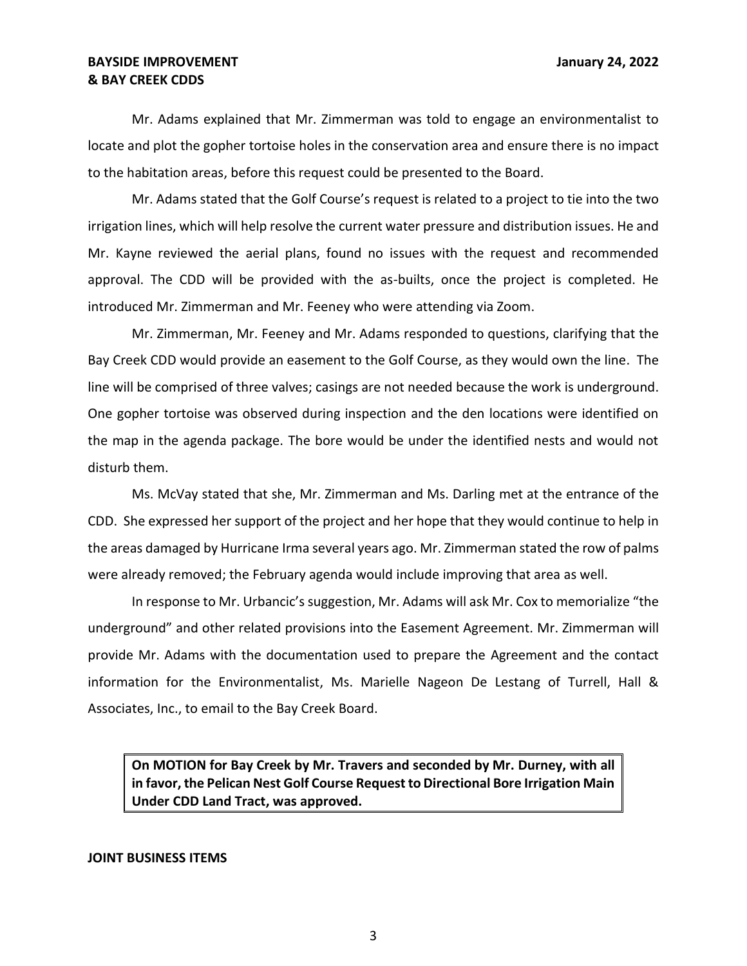Mr. Adams explained that Mr. Zimmerman was told to engage an environmentalist to locate and plot the gopher tortoise holes in the conservation area and ensure there is no impact to the habitation areas, before this request could be presented to the Board.

 Mr. Adams stated that the Golf Course's request is related to a project to tie into the two irrigation lines, which will help resolve the current water pressure and distribution issues. He and approval. The CDD will be provided with the as-builts, once the project is completed. He introduced Mr. Zimmerman and Mr. Feeney who were attending via Zoom. Mr. Kayne reviewed the aerial plans, found no issues with the request and recommended

 Mr. Zimmerman, Mr. Feeney and Mr. Adams responded to questions, clarifying that the Bay Creek CDD would provide an easement to the Golf Course, as they would own the line. The line will be comprised of three valves; casings are not needed because the work is underground. One gopher tortoise was observed during inspection and the den locations were identified on the map in the agenda package. The bore would be under the identified nests and would not disturb them.

 Ms. McVay stated that she, Mr. Zimmerman and Ms. Darling met at the entrance of the CDD. She expressed her support of the project and her hope that they would continue to help in the areas damaged by Hurricane Irma several years ago. Mr. Zimmerman stated the row of palms were already removed; the February agenda would include improving that area as well.

 underground" and other related provisions into the Easement Agreement. Mr. Zimmerman will Associates, Inc., to email to the Bay Creek Board. In response to Mr. Urbancic's suggestion, Mr. Adams will ask Mr. Cox to memorialize "the provide Mr. Adams with the documentation used to prepare the Agreement and the contact information for the Environmentalist, Ms. Marielle Nageon De Lestang of Turrell, Hall &

 **On MOTION for Bay Creek by Mr. Travers and seconded by Mr. Durney, with all in favor, the Pelican Nest Golf Course Request to Directional Bore Irrigation Main Under CDD Land Tract, was approved.** 

### **JOINT BUSINESS ITEMS**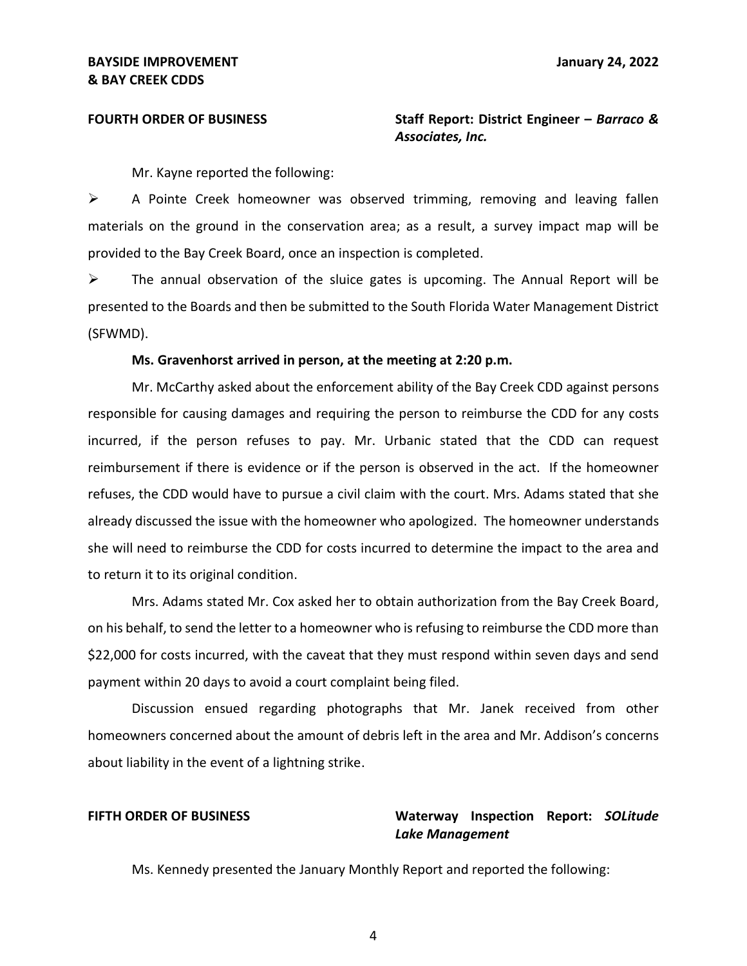**FOURTH ORDER OF BUSINESS** Staff Report: District Engineer – *Barraco & Associates, Inc.* 

Mr. Kayne reported the following:

 ➢ A Pointe Creek homeowner was observed trimming, removing and leaving fallen materials on the ground in the conservation area; as a result, a survey impact map will be provided to the Bay Creek Board, once an inspection is completed.

 presented to the Boards and then be submitted to the South Florida Water Management District  $\triangleright$  The annual observation of the sluice gates is upcoming. The Annual Report will be (SFWMD).

### **Ms. Gravenhorst arrived in person, at the meeting at 2:20 p.m.**

 incurred, if the person refuses to pay. Mr. Urbanic stated that the CDD can request reimbursement if there is evidence or if the person is observed in the act. If the homeowner refuses, the CDD would have to pursue a civil claim with the court. Mrs. Adams stated that she already discussed the issue with the homeowner who apologized. The homeowner understands she will need to reimburse the CDD for costs incurred to determine the impact to the area and to return it to its original condition. Mr. McCarthy asked about the enforcement ability of the Bay Creek CDD against persons responsible for causing damages and requiring the person to reimburse the CDD for any costs

 Mrs. Adams stated Mr. Cox asked her to obtain authorization from the Bay Creek Board, \$22,000 for costs incurred, with the caveat that they must respond within seven days and send payment within 20 days to avoid a court complaint being filed. on his behalf, to send the letter to a homeowner who is refusing to reimburse the CDD more than

 Discussion ensued regarding photographs that Mr. Janek received from other homeowners concerned about the amount of debris left in the area and Mr. Addison's concerns about liability in the event of a lightning strike.

# **FIFTH ORDER OF BUSINESS Waterway Inspection Report:** *SOLitude Lake Management*

Ms. Kennedy presented the January Monthly Report and reported the following: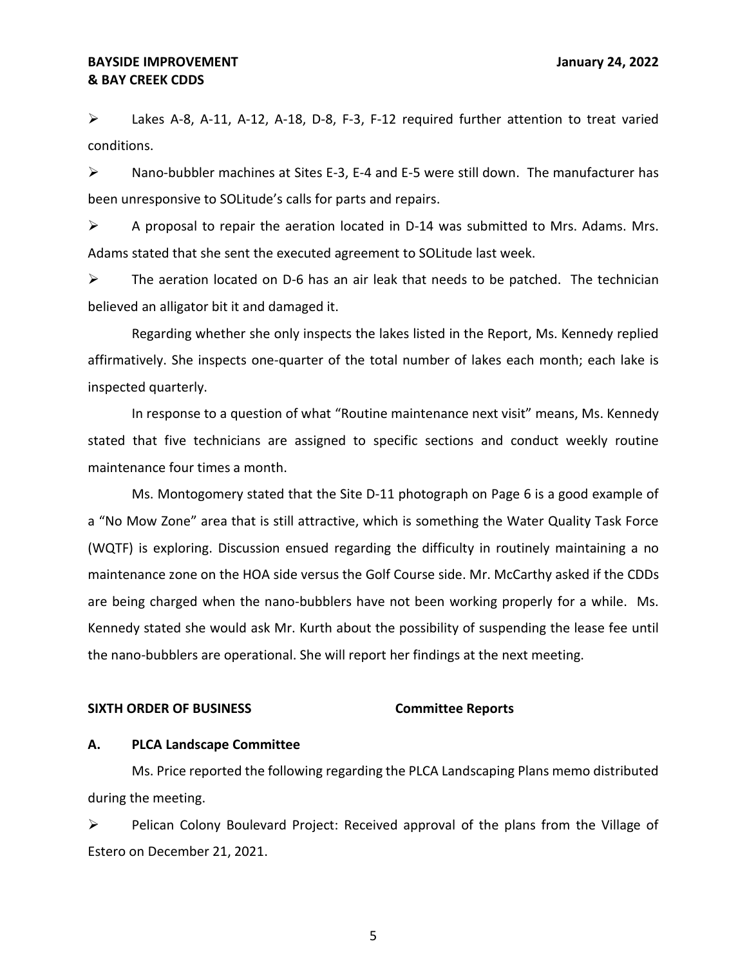$\triangleright$  Lakes A-8, A-11, A-12, A-18, D-8, F-3, F-12 required further attention to treat varied conditions.

 $\triangleright$  Nano-bubbler machines at Sites E-3, E-4 and E-5 were still down. The manufacturer has been unresponsive to SOLitude's calls for parts and repairs.

 $\triangleright$  A proposal to repair the aeration located in D-14 was submitted to Mrs. Adams. Mrs. Adams stated that she sent the executed agreement to SOLitude last week.

 $\triangleright$  The aeration located on D-6 has an air leak that needs to be patched. The technician believed an alligator bit it and damaged it.

 Regarding whether she only inspects the lakes listed in the Report, Ms. Kennedy replied affirmatively. She inspects one-quarter of the total number of lakes each month; each lake is inspected quarterly.

 In response to a question of what "Routine maintenance next visit" means, Ms. Kennedy stated that five technicians are assigned to specific sections and conduct weekly routine maintenance four times a month.

 Ms. Montogomery stated that the Site D-11 photograph on Page 6 is a good example of a "No Mow Zone" area that is still attractive, which is something the Water Quality Task Force (WQTF) is exploring. Discussion ensued regarding the difficulty in routinely maintaining a no maintenance zone on the HOA side versus the Golf Course side. Mr. McCarthy asked if the CDDs are being charged when the nano-bubblers have not been working properly for a while. Ms. Kennedy stated she would ask Mr. Kurth about the possibility of suspending the lease fee until the nano-bubblers are operational. She will report her findings at the next meeting.

### **SIXTH ORDER OF BUSINESS Committee Reports**

### **A. PLCA Landscape Committee**

 Ms. Price reported the following regarding the PLCA Landscaping Plans memo distributed during the meeting.

 ➢ Pelican Colony Boulevard Project: Received approval of the plans from the Village of Estero on December 21, 2021.

5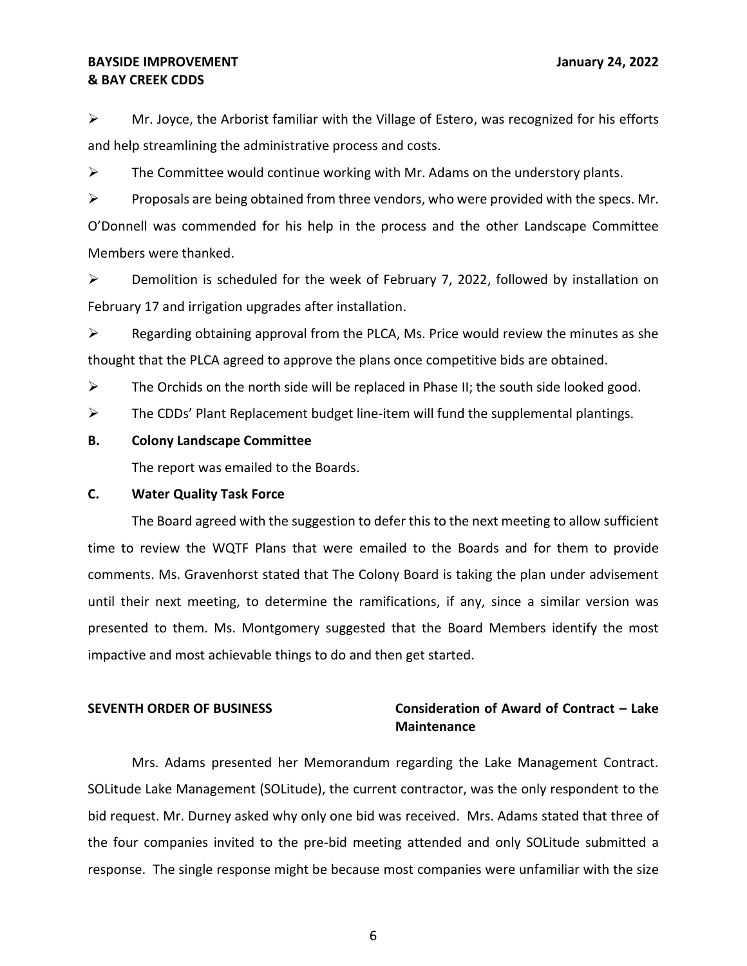$\triangleright$  Mr. Joyce, the Arborist familiar with the Village of Estero, was recognized for his efforts and help streamlining the administrative process and costs.

 $\triangleright$  The Committee would continue working with Mr. Adams on the understory plants.

 O'Donnell was commended for his help in the process and the other Landscape Committee  $\triangleright$  Proposals are being obtained from three vendors, who were provided with the specs. Mr. Members were thanked.

 ➢ Demolition is scheduled for the week of February 7, 2022, followed by installation on February 17 and irrigation upgrades after installation.

 $\triangleright$  Regarding obtaining approval from the PLCA, Ms. Price would review the minutes as she thought that the PLCA agreed to approve the plans once competitive bids are obtained.

 $\triangleright$  The Orchids on the north side will be replaced in Phase II; the south side looked good.

 $\triangleright$  The CDDs' Plant Replacement budget line-item will fund the supplemental plantings.

### **B. Colony Landscape Committee**

The report was emailed to the Boards.

### **C. Water Quality Task Force**

 The Board agreed with the suggestion to defer this to the next meeting to allow sufficient comments. Ms. Gravenhorst stated that The Colony Board is taking the plan under advisement until their next meeting, to determine the ramifications, if any, since a similar version was presented to them. Ms. Montgomery suggested that the Board Members identify the most impactive and most achievable things to do and then get started. time to review the WQTF Plans that were emailed to the Boards and for them to provide

# **SEVENTH ORDER OF BUSINESS Consideration of Award of Contract – Lake Maintenance**

 Mrs. Adams presented her Memorandum regarding the Lake Management Contract. SOLitude Lake Management (SOLitude), the current contractor, was the only respondent to the bid request. Mr. Durney asked why only one bid was received. Mrs. Adams stated that three of the four companies invited to the pre-bid meeting attended and only SOLitude submitted a response. The single response might be because most companies were unfamiliar with the size

6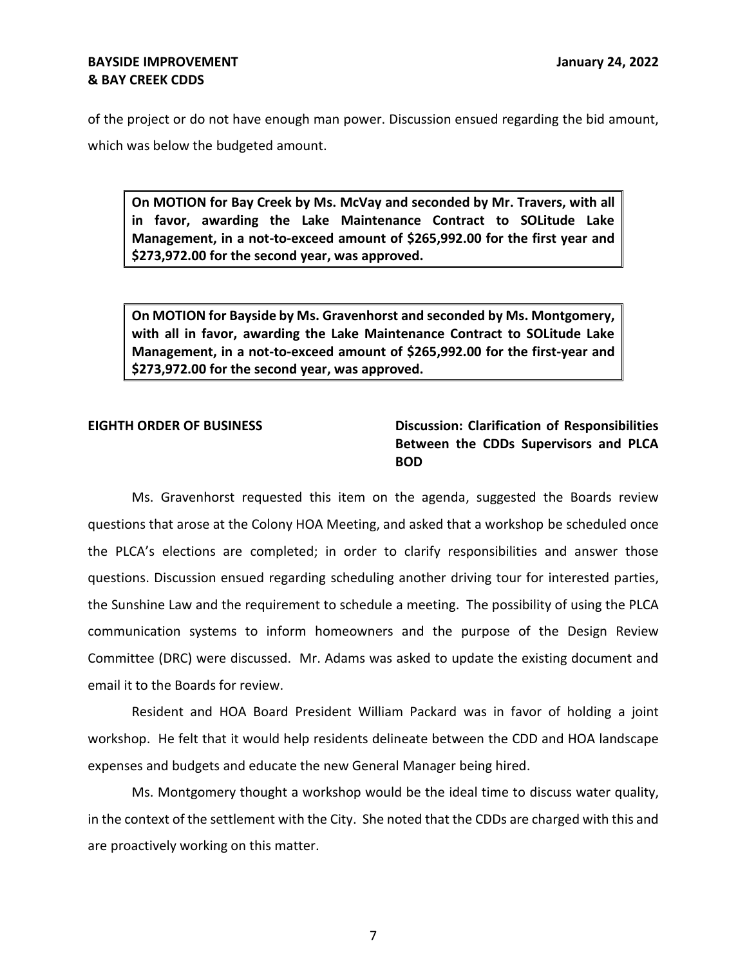# **& BAY CREEK CDDS BAYSIDE IMPROVEMENT STATES AND RESERVE THE STATES OF A SET OF A SET OF A SET OF A SET OF A SET OF A SET OF A SET OF A SET OF A SET OF A SET OF A SET OF A SET OF A SET OF A SET OF A SET OF A SET OF A SET OF A SET OF A SE**

 of the project or do not have enough man power. Discussion ensued regarding the bid amount, which was below the budgeted amount.

 **On MOTION for Bay Creek by Ms. McVay and seconded by Mr. Travers, with all in favor, awarding the Lake Maintenance Contract to SOLitude Lake Management, in a not-to-exceed amount of \$[265,992.00](https://265,992.00) for the first year and [\\$273,972.00](https://273,972.00) for the second year, was approved.** 

 **On MOTION for Bayside by Ms. Gravenhorst and seconded by Ms. Montgomery, with all in favor, awarding the Lake Maintenance Contract to SOLitude Lake Management, in a not-to-exceed amount of \$[265,992.00](https://265,992.00) for the first-year and [\\$273,972.00](https://273,972.00) for the second year, was approved.** 

# **EIGHTH ORDER OF BUSINESS Discussion: Clarification of Responsibilities Between the CDDs Supervisors and PLCA BOD**

 Ms. Gravenhorst requested this item on the agenda, suggested the Boards review questions that arose at the Colony HOA Meeting, and asked that a workshop be scheduled once the PLCA's elections are completed; in order to clarify responsibilities and answer those questions. Discussion ensued regarding scheduling another driving tour for interested parties, the Sunshine Law and the requirement to schedule a meeting. The possibility of using the PLCA communication systems to inform homeowners and the purpose of the Design Review Committee (DRC) were discussed. Mr. Adams was asked to update the existing document and email it to the Boards for review.

 Resident and HOA Board President William Packard was in favor of holding a joint workshop. He felt that it would help residents delineate between the CDD and HOA landscape expenses and budgets and educate the new General Manager being hired.

 Ms. Montgomery thought a workshop would be the ideal time to discuss water quality, in the context of the settlement with the City. She noted that the CDDs are charged with this and are proactively working on this matter.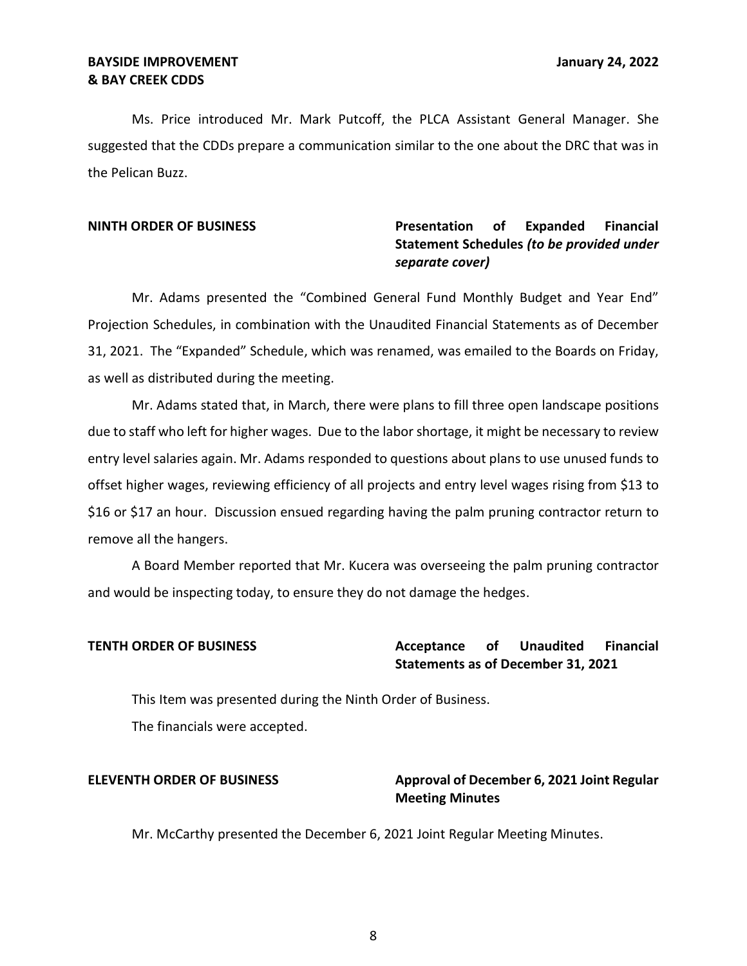# **& BAY CREEK CDDS BAYSIDE IMPROVEMENT STATES AND RESERVE THE STATES OF A SET OF A SET OF A SET OF A SET OF A SET OF A SET OF A SET OF A SET OF A SET OF A SET OF A SET OF A SET OF A SET OF A SET OF A SET OF A SET OF A SET OF A SET OF A SE**

 Ms. Price introduced Mr. Mark Putcoff, the PLCA Assistant General Manager. She suggested that the CDDs prepare a communication similar to the one about the DRC that was in the Pelican Buzz.

### **Presentation** of **NINTH ORDER OF BUSINESS Presentation of Expanded Financial Statement Schedules** *(to be provided under separate cover)*

 Mr. Adams presented the "Combined General Fund Monthly Budget and Year End" Projection Schedules, in combination with the Unaudited Financial Statements as of December 31, 2021. The "Expanded" Schedule, which was renamed, was emailed to the Boards on Friday, as well as distributed during the meeting.

 due to staff who left for higher wages. Due to the labor shortage, it might be necessary to review entry level salaries again. Mr. Adams responded to questions about plans to use unused funds to offset higher wages, reviewing efficiency of all projects and entry level wages rising from \$13 to \$16 or \$17 an hour. Discussion ensued regarding having the palm pruning contractor return to Mr. Adams stated that, in March, there were plans to fill three open landscape positions remove all the hangers.

 and would be inspecting today, to ensure they do not damage the hedges. A Board Member reported that Mr. Kucera was overseeing the palm pruning contractor

### **Acceptance Statements as of December 31, 2021 TENTH ORDER OF BUSINESS THE SECTAN Acceptance of Unaudited Financial**

 This Item was presented during the Ninth Order of Business. The financials were accepted.

# ELEVENTH ORDER OF BUSINESS **Approval of December 6, 2021 Joint Regular Meeting Minutes**

Mr. McCarthy presented the December 6, 2021 Joint Regular Meeting Minutes.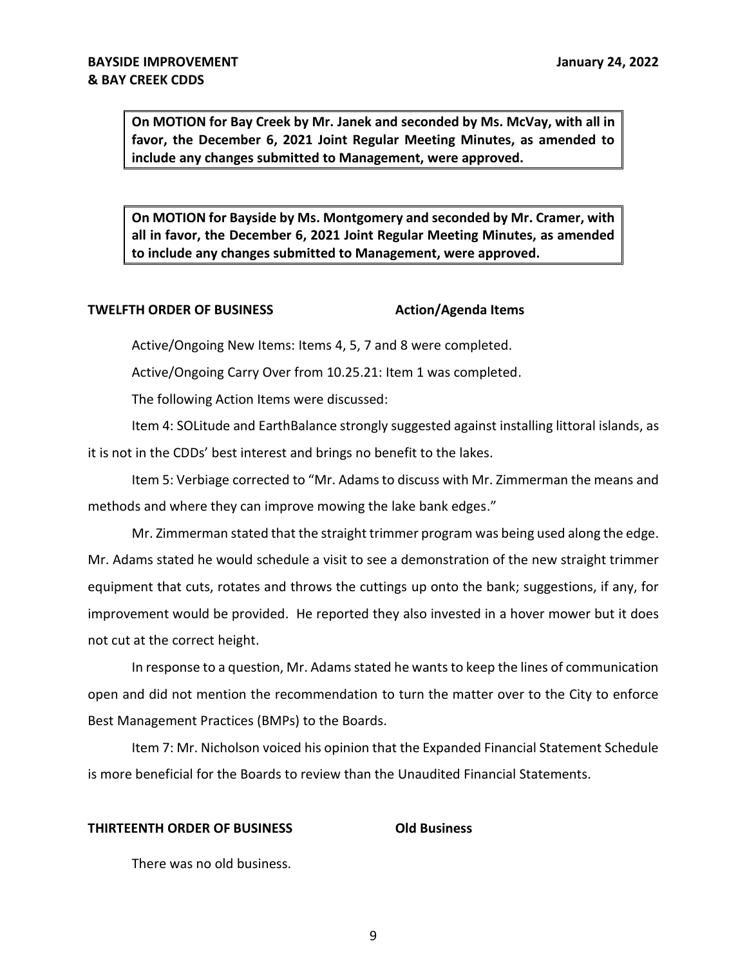**On MOTION for Bay Creek by Mr. Janek and seconded by Ms. McVay, with all in favor, the December 6, 2021 Joint Regular Meeting Minutes, as amended to include any changes submitted to Management, were approved.** 

 **On MOTION for Bayside by Ms. Montgomery and seconded by Mr. Cramer, with all in favor, the December 6, 2021 Joint Regular Meeting Minutes, as amended to include any changes submitted to Management, were approved.** 

# **TWELFTH ORDER OF BUSINESS** Action/Agenda Items

Active/Ongoing New Items: Items 4, 5, 7 and 8 were completed.

Active/Ongoing Carry Over from [10.25.21](https://10.25.21): Item 1 was completed.

The following Action Items were discussed:

 Item 4: SOLitude and EarthBalance strongly suggested against installing littoral islands, as it is not in the CDDs' best interest and brings no benefit to the lakes.

 Item 5: Verbiage corrected to "Mr. Adams to discuss with Mr. Zimmerman the means and methods and where they can improve mowing the lake bank edges."

 Mr. Zimmerman stated that the straight trimmer program was being used along the edge. Mr. Adams stated he would schedule a visit to see a demonstration of the new straight trimmer equipment that cuts, rotates and throws the cuttings up onto the bank; suggestions, if any, for improvement would be provided. He reported they also invested in a hover mower but it does not cut at the correct height.

 In response to a question, Mr. Adams stated he wants to keep the lines of communication open and did not mention the recommendation to turn the matter over to the City to enforce Best Management Practices (BMPs) to the Boards.

 Item 7: Mr. Nicholson voiced his opinion that the Expanded Financial Statement Schedule is more beneficial for the Boards to review than the Unaudited Financial Statements.

### **THIRTEENTH ORDER OF BUSINESS Old Business**

There was no old business.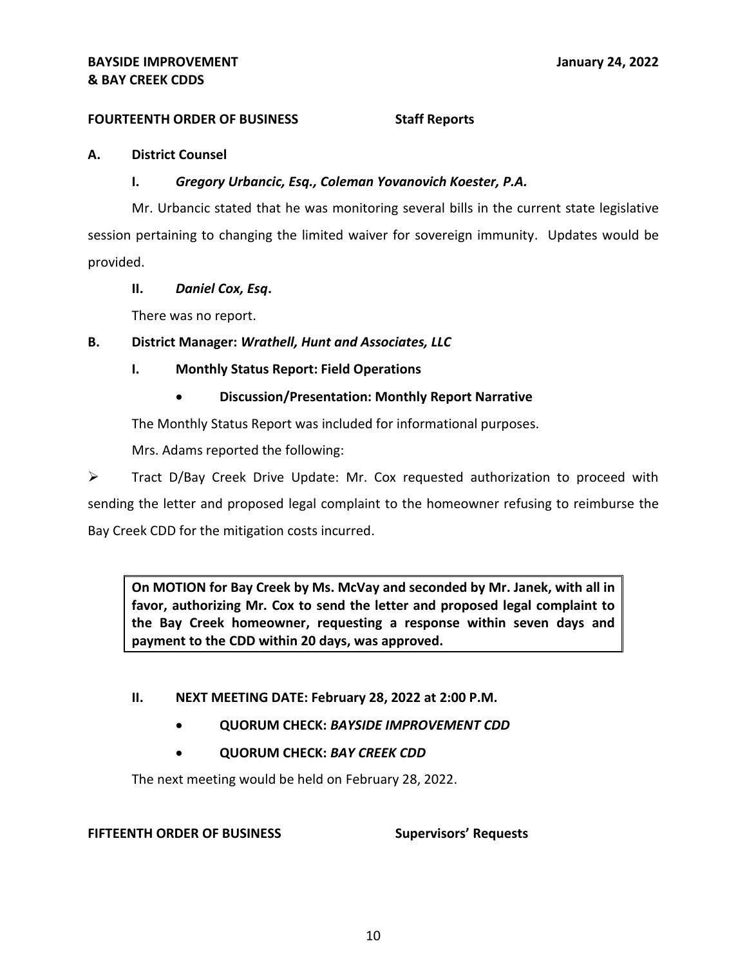# **FOURTEENTH ORDER OF BUSINESS Staff Reports**

### **A. District Counsel**

### **I.** *Gregory Urbancic, Esq., Coleman Yovanovich Koester, P.A.*

 Mr. Urbancic stated that he was monitoring several bills in the current state legislative session pertaining to changing the limited waiver for sovereign immunity. Updates would be provided.

# **II.** *Daniel Cox, Esq***.**

There was no report.

# **B. District Manager:** *Wrathell, Hunt and Associates, LLC*

# **I. Monthly Status Report: Field Operations**

 • **Discussion/Presentation: Monthly Report Narrative** 

The Monthly Status Report was included for informational purposes.

Mrs. Adams reported the following:

 ➢ Tract D/Bay Creek Drive Update: Mr. Cox requested authorization to proceed with sending the letter and proposed legal complaint to the homeowner refusing to reimburse the Bay Creek CDD for the mitigation costs incurred.

 **On MOTION for Bay Creek by Ms. McVay and seconded by Mr. Janek, with all in favor, authorizing Mr. Cox to send the letter and proposed legal complaint to the Bay Creek homeowner, requesting a response within seven days and payment to the CDD within 20 days, was approved.** 

### **II. NEXT MEETING DATE: February 28, 2022 at 2:00 P.M.**

- **QUORUM CHECK:** *BAYSIDE IMPROVEMENT CDD*
- **QUORUM CHECK:** *BAY CREEK CDD*

The next meeting would be held on February 28, 2022.

### **FIFTEENTH ORDER OF BUSINESS Supervisors' Requests**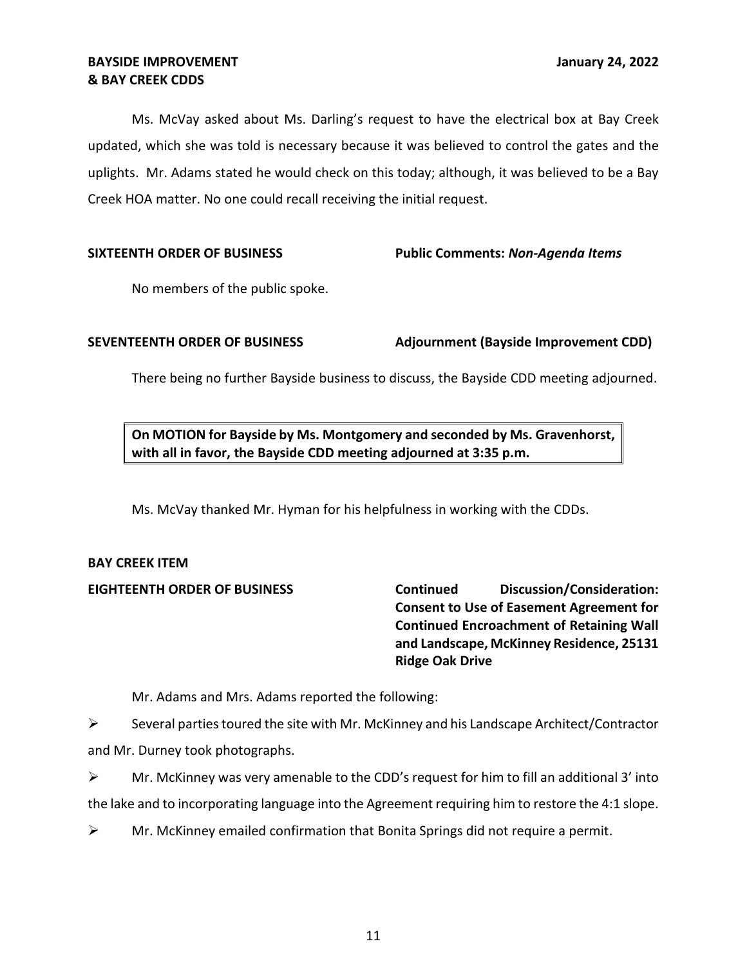Ms. McVay asked about Ms. Darling's request to have the electrical box at Bay Creek updated, which she was told is necessary because it was believed to control the gates and the uplights. Mr. Adams stated he would check on this today; although, it was believed to be a Bay Creek HOA matter. No one could recall receiving the initial request.

## **SIXTEENTH ORDER OF BUSINESS Public Comments:** *Non-Agenda Items*

No members of the public spoke.

**SEVENTEENTH ORDER OF BUSINESS Adjournment (Bayside Improvement CDD)** 

There being no further Bayside business to discuss, the Bayside CDD meeting adjourned.

 **On MOTION for Bayside by Ms. Montgomery and seconded by Ms. Gravenhorst, with all in favor, the Bayside CDD meeting adjourned at 3:35 p.m.** 

Ms. McVay thanked Mr. Hyman for his helpfulness in working with the CDDs.

# **BAY CREEK ITEM**

 **EIGHTEENTH ORDER OF BUSINESS Continued Discussion/Consideration: Consent to Use of Easement Agreement for Continued Encroachment of Retaining Wall and Landscape, McKinney Residence, 25131 Ridge Oak Drive** 

Mr. Adams and Mrs. Adams reported the following:

 $\triangleright$  Several parties toured the site with Mr. McKinney and his Landscape Architect/Contractor and Mr. Durney took photographs.

 the lake and to incorporating language into the Agreement requiring him to restore the 4:1 slope.  $\triangleright$  Mr. McKinney was very amenable to the CDD's request for him to fill an additional 3' into

 $\triangleright$  Mr. McKinney emailed confirmation that Bonita Springs did not require a permit.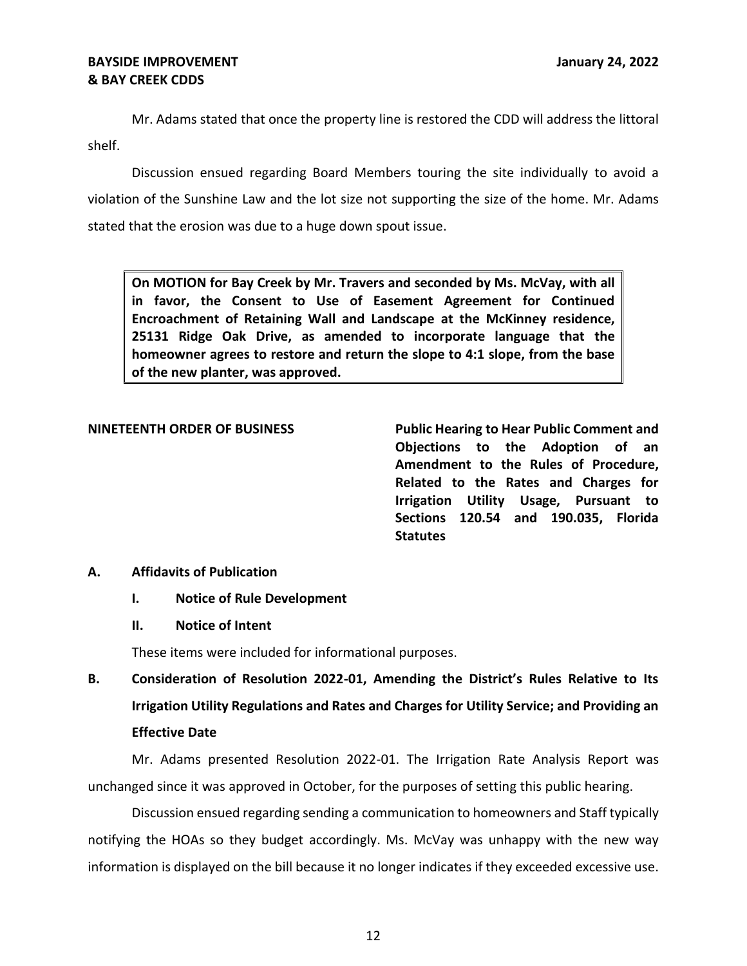Mr. Adams stated that once the property line is restored the CDD will address the littoral shelf.

 Discussion ensued regarding Board Members touring the site individually to avoid a stated that the erosion was due to a huge down spout issue. violation of the Sunshine Law and the lot size not supporting the size of the home. Mr. Adams

 **On MOTION for Bay Creek by Mr. Travers and seconded by Ms. McVay, with all in favor, the Consent to Use of Easement Agreement for Continued Encroachment of Retaining Wall and Landscape at the McKinney residence, 25131 Ridge Oak Drive, as amended to incorporate language that the homeowner agrees to restore and return the slope to 4:1 slope, from the base of the new planter, was approved.** 

 **NINETEENTH ORDER OF BUSINESS Public Hearing to Hear Public Comment and Objections to the Adoption of an Amendment to the Rules of Procedure, Related to the Rates and Charges for Irrigation Utility Usage, Pursuant to Sections 120.54 and 190.035, Florida Statutes** 

# **A. Affidavits of Publication**

# **I. Notice of Rule Development**

**II. Notice of Intent** 

These items were included for informational purposes.

 **B. Consideration of Resolution 2022-01, Amending the District's Rules Relative to Its Irrigation Utility Regulations and Rates and Charges for Utility Service; and Providing an Effective Date** 

 Mr. Adams presented Resolution 2022-01. The Irrigation Rate Analysis Report was unchanged since it was approved in October, for the purposes of setting this public hearing.

 Discussion ensued regarding sending a communication to homeowners and Staff typically information is displayed on the bill because it no longer indicates if they exceeded excessive use. notifying the HOAs so they budget accordingly. Ms. McVay was unhappy with the new way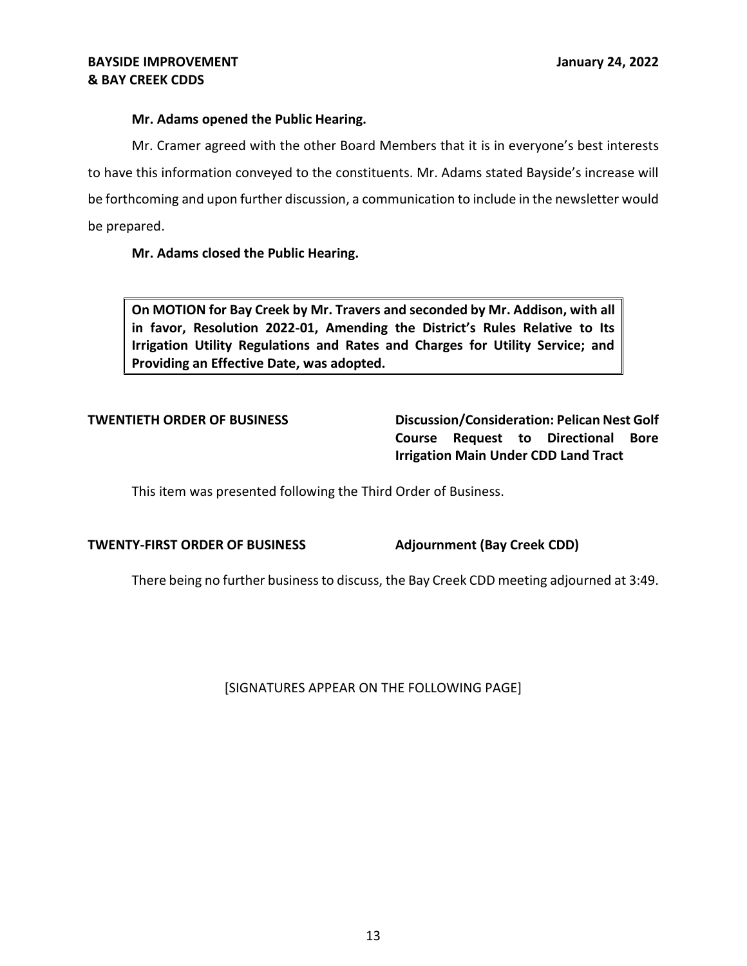# **Mr. Adams opened the Public Hearing.**

 Mr. Cramer agreed with the other Board Members that it is in everyone's best interests to have this information conveyed to the constituents. Mr. Adams stated Bayside's increase will be forthcoming and upon further discussion, a communication to include in the newsletter would be prepared.

# **Mr. Adams closed the Public Hearing.**

 **On MOTION for Bay Creek by Mr. Travers and seconded by Mr. Addison, with all in favor, Resolution 2022-01, Amending the District's Rules Relative to Its Irrigation Utility Regulations and Rates and Charges for Utility Service; and Providing an Effective Date, was adopted.** 

 **Course Request to Directional Bore Irrigation Main Under CDD Land Tract TWENTIETH ORDER OF BUSINESS Discussion/Consideration: Pelican Nest Golf** 

This item was presented following the Third Order of Business.

### **TWENTY-FIRST ORDER OF BUSINESS Adjournment (Bay Creek CDD)**

There being no further business to discuss, the Bay Creek CDD meeting adjourned at 3:49.

[SIGNATURES APPEAR ON THE FOLLOWING PAGE]